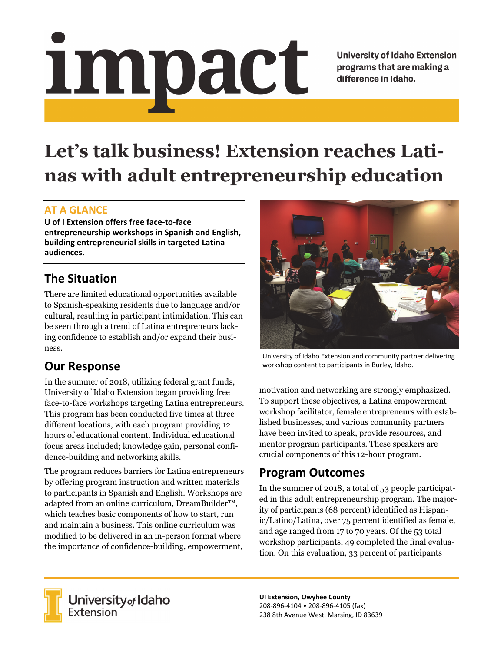# <u>impact</u>

**University of Idaho Extension** programs that are making a difference in Idaho.

# **Let's talk business! Extension reaches Latinas with adult entrepreneurship education**

#### **AT A GLANCE**

**U of I Extension offers free face‐to‐face entrepreneurship workshops in Spanish and English, building entrepreneurial skills in targeted Latina audiences.**

# **The Situation**

There are limited educational opportunities available to Spanish-speaking residents due to language and/or cultural, resulting in participant intimidation. This can be seen through a trend of Latina entrepreneurs lacking confidence to establish and/or expand their business.

## **Our Response**

In the summer of 2018, utilizing federal grant funds, University of Idaho Extension began providing free face-to-face workshops targeting Latina entrepreneurs. This program has been conducted five times at three different locations, with each program providing 12 hours of educational content. Individual educational focus areas included; knowledge gain, personal confidence-building and networking skills.

The program reduces barriers for Latina entrepreneurs by offering program instruction and written materials to participants in Spanish and English. Workshops are adapted from an online curriculum, DreamBuilder™, which teaches basic components of how to start, run and maintain a business. This online curriculum was modified to be delivered in an in-person format where the importance of confidence-building, empowerment,



University of Idaho Extension and community partner delivering workshop content to participants in Burley, Idaho.

motivation and networking are strongly emphasized. To support these objectives, a Latina empowerment workshop facilitator, female entrepreneurs with established businesses, and various community partners have been invited to speak, provide resources, and mentor program participants. These speakers are crucial components of this 12-hour program.

## **Program Outcomes**

In the summer of 2018, a total of 53 people participated in this adult entrepreneurship program. The majority of participants (68 percent) identified as Hispanic/Latino/Latina, over 75 percent identified as female, and age ranged from 17 to 70 years. Of the 53 total workshop participants, 49 completed the final evaluation. On this evaluation, 33 percent of participants



**University** of Idaho<br>Extension

**UI Extension, Owyhee County** 208‐896‐4104 • 208‐896‐4105 (fax) 238 8th Avenue West, Marsing, ID 83639